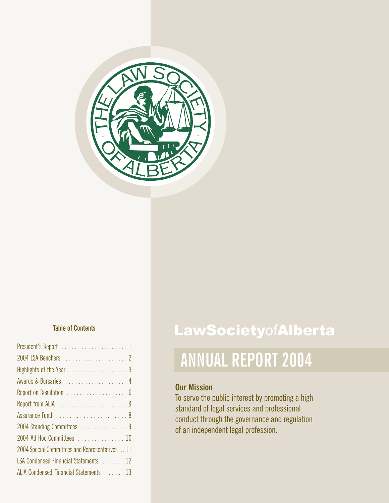

| Highlights of the Year 3                       |
|------------------------------------------------|
| Awards & Bursaries  4                          |
|                                                |
|                                                |
|                                                |
| 2004 Standing Committees 9                     |
| 2004 Ad Hoc Committees  10                     |
| 2004 Special Committees and Representatives 11 |
| LSA Condensed Financial Statements  12         |
| ALIA Condensed Financial Statements  13        |

## **Table of Contents LawSociety**ofAlberta

## **ANNUAL REPORT 2004**

### **Our Mission**

To serve the public interest by promoting a high standard of legal services and professional conduct through the governance and regulation of an independent legal profession.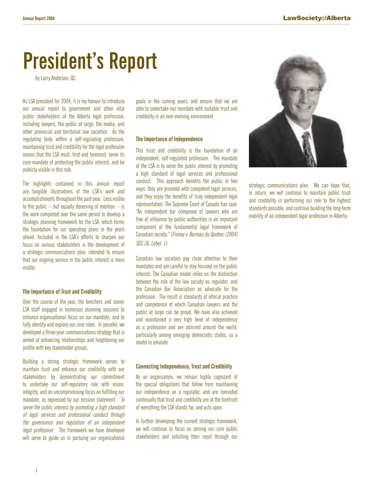## **President's Report**

by Larry Anderson, QC

As LSA president for 2004, it is my honour to introduce our annual report to government and other vital public stakeholders of the Alberta legal profession, including lawyers, the public at large, the media, and other provincial and territorial law societies. As the regulating body within a self-regulating profession, maintaining trust and credibility for the legal profession means that the LSA must, first and foremost, serve its core mandate of protecting the public interest, and be publicly visible in this role.

The highlights contained in this annual report are tangible illustrations of the LSA's work and accomplishments throughout the past year. Less visible to the public  $-$  but equally deserving of mention  $-$  is the work completed over the same period to develop a strategic planning framework for the LSA, which forms the foundation for our operating plans in the years ahead. Included in the LSA's efforts to sharpen our focus on various stakeholders is the development of a strategic communications plan, intended to ensure that our ongoing service in the public interest is more visible.

### **The Importance of Trust and Credibility**

Over the course of the year, the benchers and senior LSA staff engaged in numerous planning sessions to enhance organizational focus on our mandate, and to fully identify and explore our core roles. In parallel, we developed a three-year communications strategy that is aimed at enhancing relationships and heightening our profile with key stakeholder groups.

Building a strong strategic framework serves to maintain trust and enhance our credibility with our stakeholders by demonstrating our commitment to undertake our self-regulatory role with vision, integrity, and an uncompromising focus on fulfilling our mandate, as expressed by our mission statement: 'To serve the public interest by promoting a high standard of legal services and professional conduct through the governance and regulation of an independent legal profession'. The framework we have developed will serve to guide us in pursuing our organizational

goals in the coming years, and ensure that we are able to undertake our mandate with suitable trust and credibility in an ever-evolving environment.

### **The Importance of Independence**

This trust and credibility is the foundation of an independent, self-regulated profession. The mandate of the LSA is to serve the public interest by promoting a high standard of legal services and professional conduct. This approach benefits the public in two ways: they are provided with competent legal services, and they enjoy the benefits of truly independent legal representation. The Supreme Court of Canada has said: "An independent bar composed of lawyers who are free of influence by public authorities is an important component of the fundamental legal framework of Canadian society." (Finney v. Barreau du Quebec (2004) SCC 36, Lebel, J.)

Canadian law societies pay close attention to their mandates and are careful to stay focused on the public interest. The Canadian model relies on the distinction between the role of the law society as regulator, and the Canadian Bar Association as advocate for the profession. The result is standards of ethical practice and competence of which Canadian lawyers and the public at large can be proud. We have also achieved and maintained a very high level of independence as a profession and are admired around the world, particularly among emerging democratic states, as a model to emulate.

### **Connecting Independence, Trust and Credibility**

As an organization, we remain highly cognizant of the special obligations that follow from maintaining our independence as a regulator, and are reminded continually that trust and credibility are at the forefront of everything the LSA stands for, and acts upon.

In further developing the current strategic framework, we will continue to focus on serving our core public stakeholders and soliciting their input through our



strategic communications plan. We can hope that, in return, we will continue to maintain public trust and credibility in performing our role to the highest standards possible, and continue building the long-term viability of an independent legal profession in Alberta.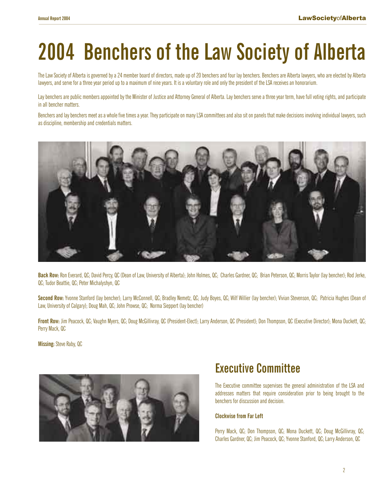# **2004 Benchers of the Law Society of Alberta**

The Law Society of Alberta is governed by a 24 member board of directors, made up of 20 benchers and four lay benchers. Benchers are Alberta lawyers, who are elected by Alberta lawyers, and serve for a three year period up to a maximum of nine years. It is a voluntary role and only the president of the LSA receives an honorarium.

Lay benchers are public members appointed by the Minister of Justice and Attorney General of Alberta. Lay benchers serve a three year term, have full voting rights, and participate in all bencher matters.

Benchers and lay benchers meet as a whole five times a year. They participate on many LSA committees and also sit on panels that make decisions involving individual lawyers, such as discipline, membership and credentials matters.



**Back Row:**Ron Everard, QC; David Percy, QC (Dean of Law, University of Alberta); John Holmes, QC; Charles Gardner, QC; Brian Peterson, QC; Morris Taylor (lay bencher); Rod Jerke, QC; Tudor Beattie, QC; Peter Michalyshyn, QC

**Second Row:** Yvonne Stanford (lay bencher); Larry McConnell, QC; Bradley Nemetz, QC; Judy Boyes, QC; Wilf Willier (lay bencher); Vivian Stevenson, QC; Patricia Hughes (Dean of Law, University of Calgary); Doug Mah, QC; John Prowse, QC; Norma Sieppert (lay bencher)

**Front Row:** Jim Peacock, QC; Vaughn Myers, QC; Doug McGillivray, QC (President-Elect); Larry Anderson, QC (President); Don Thompson, QC (Executive Director); Mona Duckett, QC; Perry Mack, QC

**Missing:** Steve Raby, QC



### **Executive Committee**

The Executive committee supervises the general administration of the LSA and addresses matters that require consideration prior to being brought to the benchers for discussion and decision.

### **Clockwise from Far Left**

Perry Mack, QC; Don Thompson, QC; Mona Duckett, QC; Doug McGillivray, QC; Charles Gardner, QC; Jim Peacock, QC; Yvonne Stanford, QC; Larry Anderson, QC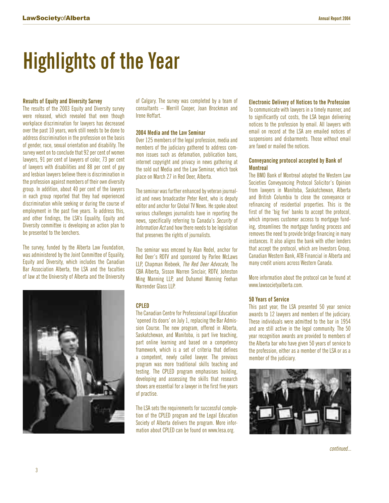# **Highlights of the Year**

### **Results of Equity and Diversity Survey**

The results of the 2003 Equity and Diversity survey were released, which revealed that even though workplace discrimination for lawyers has decreased over the past 10 years, work still needs to be done to address discrimination in the profession on the basis of gender, race, sexual orientation and disability. The survey went on to conclude that 92 per cent of women lawyers, 91 per cent of lawyers of color, 73 per cent of lawyers with disabilities and 88 per cent of gay and lesbian lawyers believe there is discrimination in the profession against members of their own diversity group. In addition, about 40 per cent of the lawyers in each group reported that they had experienced discrimination while seeking or during the course of employment in the past five years. To address this, and other findings, the LSA's Equality, Equity and Diversity committee is developing an action plan to be presented to the benchers.

The survey, funded by the Alberta Law Foundation, was administered by the Joint Committee of Equality, Equity and Diversity, which includes the Canadian Bar Association Alberta, the LSA and the faculties of law at the University of Alberta and the University



of Calgary. The survey was completed by a team of consultants – Merrill Cooper, Joan Brockman and Irene Hoffart.

### **2004 Media and the Law Seminar**

Over 125 members of the legal profession, media and members of the judiciary gathered to address common issues such as defamation, publication bans, internet copyright and privacy in news gathering at the sold out Media and the Law Seminar, which took place on March 27 in Red Deer, Alberta.

The seminar was further enhanced by veteran journalist and news broadcaster Peter Kent, who is deputy editor and anchor for Global TV News. He spoke about various challenges journalists have in reporting the news, specifically referring to Canada's Security of Information Act and how there needs to be legislation that preserves the rights of journalists.

The seminar was emceed by Alan Redel, anchor for Red Deer's RDTV and sponsored by Parlee McLaws LLP, Chapman Riebeek, The Red Deer Advocate, The CBA Alberta, Sisson Warren Sinclair, RDTV, Johnston Ming Manning LLP, and Duhamel Manning Feehan Warrender Glass LLP.

### **CPLED**

The Canadian Centre for Professional Legal Education 'opened its doors' on July 1, replacing the Bar Admission Course. The new program, offered in Alberta, Saskatchewan, and Manitoba, is part live teaching, part online learning and based on a competency framework, which is a set of criteria that defines a competent, newly called lawyer. The previous program was more traditional skills teaching and testing. The CPLED program emphasises building, developing and assessing the skills that research shows are essential for a lawyer in the first five years of practise.

The LSA sets the requirements for successful completion of the CPLED program and the Legal Education Society of Alberta delivers the program. More information about CPLED can be found on www.lesa.org.

### **Electronic Delivery of Notices to the Profession**

To communicate with lawyers in a timely manner, and to significantly cut costs, the LSA began delivering notices to the profession by email. All lawyers with email on record at the LSA are emailed notices of suspensions and disbarments. Those without email are faxed or mailed the notices.

### **Conveyancing protocol accepted by Bank of Montreal**

The BMO Bank of Montreal adopted the Western Law Societies Conveyancing Protocol Solicitor's Opinion from lawyers in Manitoba, Saskatchewan, Alberta and British Columbia to close the conveyance or refinancing of residential properties. This is the first of the 'big five' banks to accept the protocol, which improves customer access to mortgage funding, streamlines the mortgage funding process and removes the need to provide bridge financing in many instances. It also aligns the bank with other lenders that accept the protocol, which are Investors Group, Canadian Western Bank, ATB Financial in Alberta and many credit unions across Western Canada.

More information about the protocol can be found at www.lawsocietyalberta.com.

### **50 Years of Service**

This past year, the LSA presented 50 year service awards to 12 lawyers and members of the judiciary. These individuals were admitted to the bar in 1954 and are still active in the legal community. The 50 year recognition awards are provided to members of the Alberta bar who have given 50 years of service to the profession, either as a member of the LSA or as a member of the judiciary.

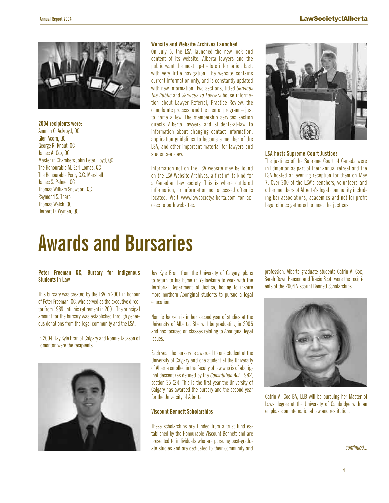

### **2004 recipients were:**

Ammon O. Ackroyd, QC Glen Acorn, QC George R. Knaut, QC James A. Cox, QC Master in Chambers John Peter Floyd, QC The Honourable M. Earl Lomas, QC The Honourable Percy C.C. Marshall James S. Palmer, QC Thomas William Snowdon, QC Raymond S. Tharp Thomas Walsh, QC Herbert D. Wyman, QC

### **Website and Website Archives Launched**

On July 5, the LSA launched the new look and content of its website. Alberta lawyers and the public want the most up-to-date information fast, with very little navigation. The website contains current information only, and is constantly updated with new information. Two sections, titled Services the Public and Services to Lawyers house information about Lawyer Referral, Practice Review, the complaints process, and the mentor program – just to name a few. The membership services section directs Alberta lawyers and students-at-law to information about changing contact information, application guidelines to become a member of the LSA, and other important material for lawyers and students-at-law.

Information not on the LSA website may be found on the LSA Website Archives, a first of its kind for a Canadian law society. This is where outdated information, or information not accessed often is located. Visit www.lawsocietyalberta.com for access to both websites.



### **LSA hosts Supreme Court Justices**

The justices of the Supreme Court of Canada were in Edmonton as part of their annual retreat and the LSA hosted an evening reception for them on May 7. Over 300 of the LSA's benchers, volunteers and other members of Alberta's legal community including bar associations, academics and not-for-profit legal clinics gathered to meet the justices.

## **Awards and Bursaries**

### **Peter Freeman QC, Bursary for Indigenous Students in Law**

This bursary was created by the LSA in 2001 in honour of Peter Freeman, QC, who served as the executive director from 1989 until his retirement in 2001. The principal amount for the bursary was established through generous donations from the legal community and the LSA.

In 2004, Jay Kyle Bran of Calgary and Nonnie Jackson of Edmonton were the recipients.



Jay Kyle Bran, from the University of Calgary, plans to return to his home in Yellowknife to work with the Territorial Department of Justice, hoping to inspire more northern Aboriginal students to pursue a legal education.

Nonnie Jackson is in her second year of studies at the University of Alberta. She will be graduating in 2006 and has focused on classes relating to Aboriginal legal issues.

Each year the bursary is awarded to one student at the University of Calgary and one student at the University of Alberta enrolled in the faculty of law who is of aboriginal descent (as defined by the Constitution Act, 1982, section 35 (2)). This is the first year the University of Calgary has awarded the bursary and the second year for the University of Alberta.

### **Viscount Bennett Scholarships**

These scholarships are funded from a trust fund established by the Honourable Viscount Bennett and are presented to individuals who are pursuing post-graduate studies and are dedicated to their community and profession. Alberta graduate students Catrin A. Coe, Sarah Dawn Hansen and Tracie Scott were the recipients of the 2004 Viscount Bennett Scholarships.



Catrin A. Coe BA, LLB will be pursuing her Master of Laws degree at the University of Cambridge with an emphasis on international law and restitution.

continued...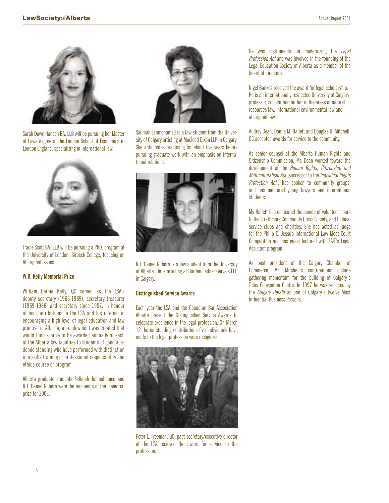

Sarah Dawn Hansen BA, LLB will be pursuing her Master of Laws degree at the London School of Economics in London England, specializing in international law.



Tracie Scott BA, LLB will be pursuing a PhD. program at the University of London, Birbeck College, focusing on Aboriginal issues.

### **W.B. Kelly Memorial Prize**

William Bernie Kelly, QC served as the LSA's deputy secretary (1966-1969), secretary treasurer (1969-1986) and secretary since 1987. In honour of his contributions to the LSA and his interest in encouraging a high level of legal education and law practise in Alberta, an endowment was created that would fund a prize to be awarded annually at each of the Alberta law faculties to students of good academic standing who have performed with distinction in a skills training or professional responsibility and ethics course or program.

Alberta graduate students Salimah Janmohamed and R.J. Daniel Gilborn were the recipients of the memorial prize for 2003.



Salimah Janmohamed is a law student from the University of Calgary articling at Macleod Dixon LLP in Calgary. She anticipates practising for about five years before pursuing graduate work with an emphasis on international relations.



R.J. Daniel Gilborn is a law student from the University of Alberta. He is articling at Borden Ladner Gervais LLP in Calgary.

### **Distinguished Service Awards**

Each year the LSA and the Canadian Bar Association Alberta present the Distinguished Service Awards to celebrate excellence in the legal profession. On March 12 the outstanding contributions five individuals have made to the legal profession were recognized.



Peter L. Freeman, QC, past secretary/executive director of the LSA recieved the award for service to the profession.

He was instrumental in modernizing the Legal Profession Act and was involved in the founding of the Legal Education Society of Alberta as a member of the board of directors.

Nigel Bankes received the award for legal scholarship. He is an internationally respected University of Calgary professor, scholar and author in the areas of natural resources law, international environmental law and aboriginal law.

Audrey Dean, Donna M. Hallett and Douglas H. Mitchell, QC accepted awards for service to the community.

As senior counsel at the Alberta Human Rights and Citizenship Commission, Ms Dean worked toward the development of the *Human Rights, Citizenship and* Multiculturalism Act (successor to the Individual Rights Protection Act), has spoken to community groups, and has mentored young lawyers and international students.

Ms Hallett has dedicated thousands of volunteer hours to the Strathmore Community Crisis Society, and to local service clubs and charities. She has acted as judge for the Philip C. Jessup International Law Moot Court Competition and has guest lectured with SAIT's Legal Assistant program.

As past president of the Calgary Chamber of Commerce, Mr. Mitchell's contributions include gathering momentum for the building of Calgary's Telus Convention Centre. In 1997 he was selected by the Calgary Herald as one of Calgary's Twelve Most Influential Business Persons.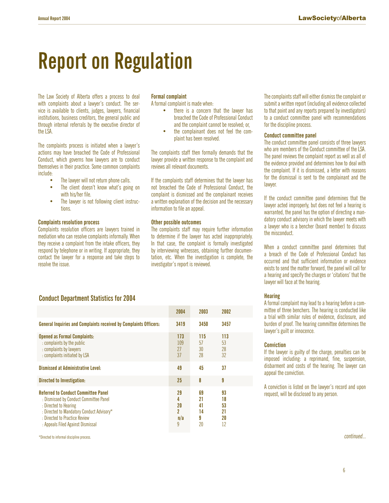# **Report on Regulation**

The Law Society of Alberta offers a process to deal with complaints about a lawyer's conduct. The service is available to clients, judges, lawyers, financial institutions, business creditors, the general public and through internal referrals by the executive director of the LSA.

The complaints process is initiated when a lawyer's actions may have breached the Code of Professional Conduct, which governs how lawyers are to conduct themselves in their practice. Some common complaints include:

- The lawyer will not return phone calls.
- The client doesn't know what's going on with his/her file.
- The lawyer is not following client instructions.

#### **Complaints resolution process**

Complaints resolution officers are lawyers trained in mediation who can resolve complaints informally. When they receive a complaint from the intake officers, they respond by telephone or in writing. If appropriate, they contact the lawyer for a response and take steps to resolve the issue.

### **Formal complaint**

A formal complaint is made when:

- there is a concern that the lawyer has breached the Code of Professional Conduct and the complaint cannot be resolved; or,
- the complainant does not feel the complaint has been resolved.

The complaints staff then formally demands that the lawyer provide a written response to the complaint and reviews all relevant documents.

If the complaints staff determines that the lawyer has not breached the Code of Professional Conduct, the complaint is dismissed and the complainant receives a written explanation of the decision and the necessary information to file an appeal.

### **Other possible outcomes**

The complaints staff may require further information to determine if the lawyer has acted inappropriately. In that case, the complaint is formally investigated by interviewing witnesses, obtaining further documentation, etc. When the investigation is complete, the investigator's report is reviewed.

The complaints staff will either dismiss the complaint or submit a written report (including all evidence collected to that point and any reports prepared by investigators) to a conduct committee panel with recommendations for the discipline process.

### **Conduct committee panel**

The conduct committee panel consists of three lawyers who are members of the Conduct committee of the LSA. The panel reviews the complaint report as well as all of the evidence provided and determines how to deal with the complaint. If it is dismissed, a letter with reasons for the dismissal is sent to the complainant and the lawyer.

If the conduct committee panel determines that the lawyer acted improperly, but does not feel a hearing is warranted, the panel has the option of directing a mandatory conduct advisory in which the lawyer meets with a lawyer who is a bencher (board member) to discuss the misconduct.

When a conduct committee panel determines that a breach of the Code of Professional Conduct has occurred and that sufficient information or evidence exists to send the matter forward, the panel will call for a hearing and specify the charges or 'citations' that the lawyer will face at the hearing.

### **Hearing**

A formal complaint may lead to a hearing before a committee of three benchers. The hearing is conducted like a trial with similar rules of evidence, disclosure, and burden of proof. The hearing committee determines the lawyer's guilt or innocence.

#### **Conviction**

If the lawyer is guilty of the charge, penalties can be imposed including: a reprimand, fine, suspension, disbarment and costs of the hearing. The lawyer can appeal the conviction.

A conviction is listed on the lawyer's record and upon request, will be disclosed to any person.

### **Conduct Department Statistics for 2004**

|                                                                                                                                                                                                                                  | 2004                           | 2003                            | 2002                             |
|----------------------------------------------------------------------------------------------------------------------------------------------------------------------------------------------------------------------------------|--------------------------------|---------------------------------|----------------------------------|
| <b>General Inquiries and Complaints received by Complaints Officers:</b>                                                                                                                                                         | 3419                           | 3450                            | 3457                             |
| <b>Opened as Formal Complaints:</b><br>: complaints by the public<br>: complaints by lawyers<br>: complaints initiated by LSA                                                                                                    | 173<br>109<br>27<br>37         | 115<br>57<br>30<br>28           | 113<br>53<br>28<br>32            |
| Dismissed at Administrative Level:                                                                                                                                                                                               | 49                             | 45                              | 37                               |
| Directed to Investigation:                                                                                                                                                                                                       | 25                             | 8                               | 9                                |
| <b>Referred to Conduct Committee Panel</b><br>: Dismissed by Conduct Committee Panel<br>: Directed to Hearing<br>: Directed to Mandatory Conduct Advisory*<br>: Directed to Practice Review<br>: Appeals Filed Against Dismissal | 29<br>4<br>20<br>2<br>n/a<br>9 | 69<br>21<br>41<br>14<br>9<br>20 | 93<br>18<br>53<br>21<br>20<br>12 |

\*Directed to informal discipline process. continued...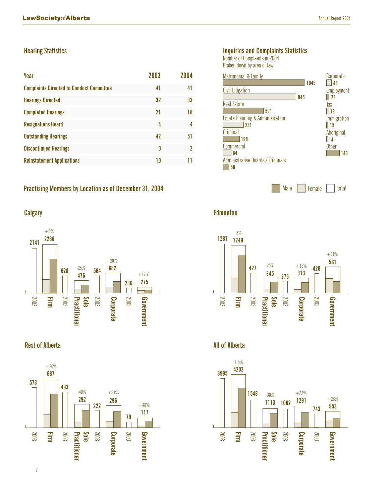### **Hearing Statistics**

| Year                                            | 2003 | 2004 |
|-------------------------------------------------|------|------|
| <b>Complaints Directed to Conduct Committee</b> | 41   | 41   |
| <b>Hearings Directed</b>                        | 32   | 33   |
| <b>Completed Hearings</b>                       | 21   | 18   |
| <b>Resignations Heard</b>                       | 4    | 4    |
| <b>Outstanding Hearings</b>                     | 42   | 51   |
| <b>Discontinued Hearings</b>                    | 0    | າ    |
| <b>Reinstatement Applications</b>               | 10   | 11   |

**Practising Members by Location as of December 31, 2004**



### **Rest of Alberta All of Alberta**



### **Inquiries and Complaints Statistics**

Number of Complaints in 2004

Broken down by area of law



Male Female Total

**Calgary Edmonton**





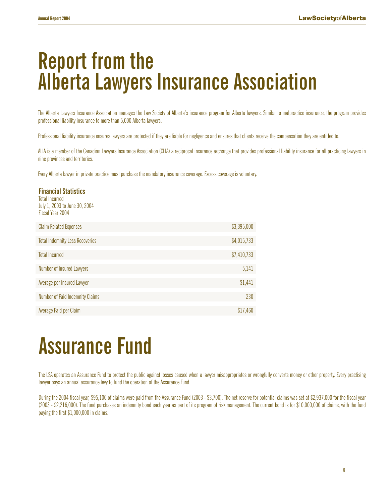# **Report from the Alberta Lawyers Insurance Association**

The Alberta Lawyers Insurance Association manages the Law Society of Alberta's insurance program for Alberta lawyers. Similar to malpractice insurance, the program provides professional liability insurance to more than 5,000 Alberta lawyers.

Professional liability insurance ensures lawyers are protected if they are liable for negligence and ensures that clients receive the compensation they are entitled to.

ALIA is a member of the Canadian Lawyers Insurance Association (CLIA) a reciprocal insurance exchange that provides professional liability insurance for all practicing lawyers in nine provinces and territories.

Every Alberta lawyer in private practice must purchase the mandatory insurance coverage. Excess coverage is voluntary.

### **Financial Statistics** Total Incurred July 1, 2003 to June 30, 2004 Fiscal Year 2004 Claim Related Expenses  $$3,395,000$ Total Indemnity Less Recoveries  $$4,015,733$ Total Incurred \$7,410,733 Number of Insured Lawyers 5,141 Average per Insured Lawyer \$1,441

| <b>AVGICAC DEL INSUIGU LAWYER</b> | J.HH.L   |
|-----------------------------------|----------|
|                                   |          |
| Number of Paid Indemnity Claims   | 230      |
|                                   |          |
| Average Paid per Claim            | \$17,460 |

# **Assurance Fund**

The LSA operates an Assurance Fund to protect the public against losses caused when a lawyer misappropriates or wrongfully converts money or other property. Every practising lawyer pays an annual assurance levy to fund the operation of the Assurance Fund.

During the 2004 fiscal year, \$95,100 of claims were paid from the Assurance Fund (2003 - \$3,700). The net reserve for potential claims was set at \$2,937,000 for the fiscal year (2003 - \$2,216,000). The fund purchases an indemnity bond each year as part of its program of risk management. The current bond is for \$10,000,000 of claims, with the fund paying the first \$1,000,000 in claims.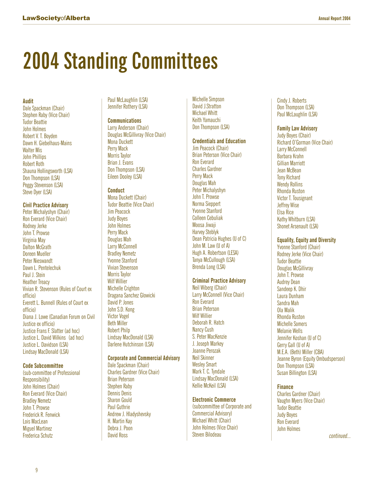# **2004 Standing Committees**

### **Audit**

Dale Spackman (Chair) Stephen Raby (Vice Chair) Tudor Beattie John Holmes Robert V. T. Boyden Dawn H. Giebelhaus-Mains Walter Mis John Phillips Robert Roth Shauna Hollingsworth (LSA) Don Thompson (LSA) Peggy Stevenson (LSA) Steve Dyer (LSA)

### **Civil Practice Advisory**

Peter Michalyshyn (Chair) Ron Everard (Vice Chair) Rodney Jerke John T. Prowse Virginia May Dalton McGrath Doreen Mueller Peter Nieswandt Dawn L. Pentelechuk Paul J. Stein Heather Treacy Vivian R. Stevenson (Rules of Court ex officio) Everett L. Bunnell (Rules of Court ex officio) Diana J. Lowe (Canadian Forum on Civil Justice ex officio) Justice Frans F. Slatter (ad hoc) Justice L. David Wilkins (ad hoc) Justice L. Davidson (LSA) Lindsay MacDonald (LSA)

### **Code Subcommittee**

(sub-committee of Professional Responsibility) John Holmes (Chair) Ron Everard (Vice Chair) Bradley Nemetz John T. Prowse Frederick R. Fenwick Lois MacLean Miguel Martinez Frederica Schutz

Paul McLaughlin (LSA) Jennifer Rothery (LSA)

### **Communications**

Larry Anderson (Chair) Douglas McGillivray (Vice Chair) Mona Duckett Perry Mack Morris Taylor Brian J. Evans Don Thompson (LSA) Eileen Dooley (LSA)

### **Conduct**

Mona Duckett (Chair) Tudor Beattie (Vice Chair) Jim Peacock Judy Boyes John Holmes Perry Mack Douglas Mah Larry McConnell Bradley Nemetz Yvonne Stanford Vivian Stevenson Morris Taylor Wilf Willier Michelle Crighton Dragana Sanchez Glowicki David P. Jones John S.D. Kong Victor Vogel Beth Miller Robert Philp Lindsay MacDonald (LSA) Darlene Hutchinson (LSA)

### **Corporate and Commercial Advisory**

Dale Spackman (Chair) Charles Gardner (Vice Chair) Brian Peterson Stephen Raby Dennis Denis Sharon Gould Paul Guthrie Andrew J. Hladyshevsky H. Martin Kay Debra J. Poon David Ross

Michelle Simpson David J.Stratton Michael Whitt Keith Yamauchi Don Thompson (LSA)

### **Credentials and Education**

Jim Peacock (Chair) Brian Peterson (Vice Chair) Ron Everard Charles Gardner Perry Mack Douglas Mah Peter Michalyshyn John T. Prowse Norma Sieppert Yvonne Stanford Colleen Cebuliak Moosa Jiwaji Harvey Steblyk Dean Patricia Hughes (U of C) John M. Law (U of A) Hugh A. Robertson (LESA) Tanya McCullough (LSA) Brenda Long (LSA)

### **Criminal Practice Advisory**

Neil Wiberg (Chair) Larry McConnell (Vice Chair) Ron Everard Brian Peterson Wilf Willier Deborah R. Hatch Nancy Cush S. Peter MacKenzie J. Joseph Markey Joanne Perozak Neil Skinner Wesley Smart Mark T. C. Tyndale Lindsay MacDonald (LSA) Kellie McKeil (LSA)

### **Electronic Commerce**

(subcommittee of Corporate and Commercial Advisory) Michael Whitt (Chair) John Holmes (Vice Chair) Steven Bilodeau

Cindy J. Roberts Don Thompson (LSA) Paul McLaughlin (LSA)

### **Family Law Advisory**

Judy Boyes (Chair) Richard O'Gorman (Vice Chair) Larry McConnell Barbara Krahn Gillian Marriott Jean McBean Tony Richard Wendy Rollins Rhonda Ruston Victor T. Tousignant Jeffrey Wise Elsa Rice Kathy Whitburn (LSA) Shonet Arsenault (LSA)

### **Equality, Equity and Diversity**

Yvonne Stanford (Chair) Rodney Jerke (Vice Chair) Tudor Beattie Douglas McGillivray John T. Prowse Audrey Dean Sandeep K. Dhir Laura Dunham Sandra Mah Ola Malik Rhonda Ruston Michelle Somers Melanie Wells Jennifer Koshan (U of C) Gerry Gall (U of A) M.E.A. (Beth) Miller (CBA) Jeanne Byron (Equity Ombudsperson) Don Thompson (LSA) Susan Billington (LSA)

### **Finance**

Charles Gardner (Chair) Vaughn Myers (Vice Chair) Tudor Beattie Judy Boyes Ron Everard John Holmes

continued...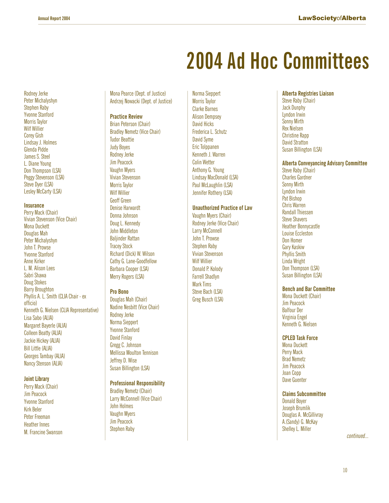# **2004 Ad Hoc Committees**

Rodney Jerke Peter Michalyshyn Stephen Raby Yvonne Stanford Morris Taylor Wilf Willier Corey Gish Lindsay J. Holmes Glenda Pidde James S. Steel L. Diane Young Don Thompson (LSA) Peggy Stevenson (LSA) Steve Dyer (LSA) Lesley McCarty (LSA)

### **Insurance**

Perry Mack (Chair) Vivian Stevenson (Vice Chair) Mona Duckett Douglas Mah Peter Michalyshyn John T. Prowse Yvonne Stanford Anne Kirker L. M. Alison Lees Sabri Shawa Doug Stokes Barry Broughton Phyllis A. L. Smith (CLIA Chair - ex officio) Kenneth G. Nielsen (CLIA Representative) Lisa Sabo (ALIA) Margaret Bayerle (ALIA) Colleen Beatty (ALIA) Jackie Hickey (ALIA) Bill Little (ALIA) Georges Tambay (ALIA) Nancy Stenson (ALIA)

#### **Joint Library**

Perry Mack (Chair) Jim Peacock Yvonne Stanford Kirk Beler Peter Freeman Heather Innes M. Francine Swanson Mona Pearce (Dept. of Justice) Andrzej Nowacki (Dept. of Justice)

### **Practice Review**

Brian Peterson (Chair) Bradley Nemetz (Vice Chair) Tudor Beattie Judy Boyes Rodney Jerke Jim Peacock Vaughn Myers Vivian Stevenson Morris Taylor Wilf Willier Geoff Green Denise Harwardt Donna Johnson Doug L. Kennedy John Middleton Baljinder Rattan Tracey Stock Richard (Dick) W. Wilson Cathy G. Lane-Goodfellow Barbara Cooper (LSA) Merry Rogers (LSA)

#### **Pro Bono**

Douglas Mah (Chair) Nadine Nesbitt (Vice Chair) Rodney Jerke Norma Sieppert Yvonne Stanford David Finlay Gregg C. Johnson Mellissa Moulton Tennison Jeffrey D. Wise Susan Billington (LSA)

### **Professional Responsibility**

Bradley Nemetz (Chair) Larry McConnell (Vice Chair) John Holmes Vaughn Myers Jim Peacock Stephen Raby

Norma Sieppert Morris Taylor Clarke Barnes Alison Dempsey David Hicks Frederica L. Schutz David Syme Eric Tolppanen Kenneth J. Warren Colin Wetter Anthony G. Young Lindsay MacDonald (LSA) Paul McLaughlin (LSA) Jennifer Rothery (LSA)

### **Unauthorized Practice of Law**

Vaughn Myers (Chair) Rodney Jerke (Vice Chair) Larry McConnell John T. Prowse Stephen Raby Vivian Stevenson Wilf Willier Donald P. Kolody Farrell Shadlyn Mark Tims Steve Bach (LSA) Greg Busch (LSA)

### **Alberta Registries Liaison**

Steve Raby (Chair) Jack Dunphy Lyndon Irwin Sonny Mirth Rex Nielsen Christine Rapp David Stratton Susan Billington (LSA)

#### **Alberta Conveyancing Advisory Committee**

Steve Raby (Chair) Charles Gardner Sonny Mirth Lyndon Irwin Pat Bishop Chris Warren Randall Thiessen Steve Shavers Heather Bonnycastle Louise Eccleston Don Homer Gary Kaskiw Phyllis Smith Linda Wright Don Thompson (LSA) Susan Billington (LSA)

### **Bench and Bar Committee**

Mona Duckett (Chair) Jim Peacock Balfour Der Virginia Engel Kenneth G. Nielsen

#### **CPLED Task Force**

Mona Duckett Perry Mack Brad Nemetz Jim Peacock Joan Copp Dave Guenter

#### **Claims Subcommittee**

Donald Boyer Joseph Brumlik Douglas A. McGillivray A.(Sandy) G. McKay Shelley L. Miller

continued...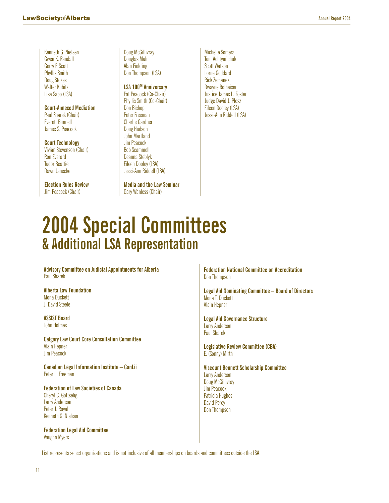Kenneth G. Nielsen Gwen K. Randall Gerry F. Scott Phyllis Smith Doug Stokes Walter Kubitz Lisa Sabo (LSA)

**Court-Annexed Mediation** Paul Sharek (Chair) Everett Bunnell James S. Peacock

**Court Technology** Vivian Stevenson (Chair) Ron Everard Tudor Beattie Dawn Janecke

**Election Rules Review** Jim Peacock (Chair)

Doug McGillivray Douglas Mah Alan Fielding Don Thompson (LSA)

### **LSA 100TH Anniversary**

Pat Peacock (Co-Chair) Phyllis Smith (Co-Chair) Don Bishop Peter Freeman Charlie Gardner Doug Hudson John Martland Jim Peacock Bob Scammell Deanna Steblyk Eileen Dooley (LSA) Jessi-Ann Riddell (LSA)

**Media and the Law Seminar** Gary Wanless (Chair)

Michelle Somers Tom Achtymichuk Scott Watson Lorne Goddard Rick Zemanek Dwayne Rolheiser Justice James L. Foster Judge David J. Plosz Eileen Dooley (LSA) Jessi-Ann Riddell (LSA)

## **2004 Special Committees & Additional LSA Representation**

**Advisory Committee on Judicial Appointments for Alberta** Paul Sharek

**Alberta Law Foundation** Mona Duckett J. David Steele

**ASSIST Board** John Holmes

**Calgary Law Court Core Consultation Committee** Alain Hepner Jim Peacock

**Canadian Legal Information Institute – CanLii** Peter L. Freeman

**Federation of Law Societies of Canada** Cheryl C. Gottselig Larry Anderson Peter J. Royal Kenneth G. Nielsen

**Federation Legal Aid Committee** Vaughn Myers

**Federation National Committee on Accreditation** Don Thompson

**Legal Aid Nominating Committee – Board of Directors** Mona T. Duckett Alain Hepner

**Legal Aid Governance Structure** Larry Anderson Paul Sharek

**Legislative Review Committee (CBA)** E. (Sonny) Mirth

**Viscount Bennett Scholarship Committee** Larry Anderson Doug McGillivray Jim Peacock Patricia Hughes David Percy Don Thompson

List represents select organizations and is not inclusive of all memberships on boards and committees outside the LSA.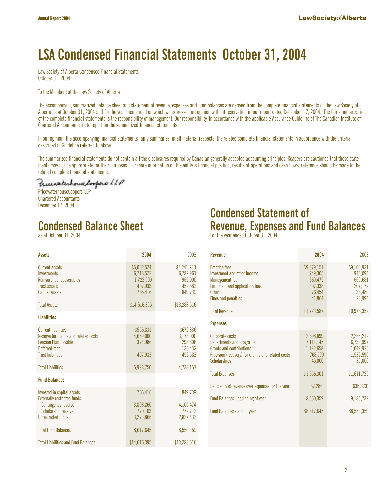### **LSA Condensed Financial Statements October 31, 2004**

Law Society of Alberta Condensed Financial Statements October 31, 2004

To the Members of the Law Society of Alberta

The accompanying summarized balance sheet and statement of revenue, expenses and fund balances are derived from the complete financial statements of The Law Society of Alberta as at October 31, 2004 and for the year then ended on which we expressed an opinion without reservation in our report dated December 17, 2004. The fair summarization of the complete financial statements is the responsibility of management. Our responsibility, in accordance with the applicable Assurance Guideline of The Canadian Institute of Chartered Accountants, is to report on the summarized financial statements.

In our opinion, the accompanying financial statements fairly summarize, in all material respects, the related complete financial statements in accordance with the criteria described in Guideline referred to above.

The summarized financial statements do not contain all the disclosures required by Canadian generally accepted accounting principles. Readers are cautioned that these statements may not be appropriate for their purposes. For more information on the entity's financial position, results of operations and cash flows, reference should be made to the related complete financial statements.

PricewaterhouseCoopers LLP Chartered Accountants December 17, 2004

 $\overline{\phantom{a}}$ 

### **Condensed Balance Sheet**

as at October 31, 2004

| Assets                                                                                                                                                              | 2004                                                        | 2003                                                                 |
|---------------------------------------------------------------------------------------------------------------------------------------------------------------------|-------------------------------------------------------------|----------------------------------------------------------------------|
| Current assets<br>Investments<br>Reinsurance recoverables<br>Trust assets<br>Capital assets                                                                         | \$5,002,524<br>6.718.522<br>1,722,000<br>407,933<br>765.416 | \$4,241,233<br>6,782,961<br>962,000<br>452,583<br>849,739            |
| <b>Total Assets</b>                                                                                                                                                 | \$14,616,395                                                | \$13,288,516                                                         |
| <b>Liabilities</b>                                                                                                                                                  |                                                             |                                                                      |
| <b>Current liabilities</b><br>Reserve for claims and related costs<br>Pension Plan payable<br>Deferred rent<br><b>Trust liabilities</b><br><b>Total Liabilities</b> | \$556,831<br>4,659,000<br>374,986<br>407,933<br>5,998,750   | \$672,336<br>3,178,000<br>298,806<br>136.432<br>452,583<br>4,738,157 |
| <b>Fund Balances</b>                                                                                                                                                |                                                             |                                                                      |
| Invested in capital assets<br><b>Externally restricted funds</b><br>Contingency reserve<br>Scholarship reserve<br><b>Unrestricted funds</b>                         | 765.416<br>3,808,260<br>770,103<br>3.273.866                | 849.739<br>4,100,474<br>772,713<br>2,827,433                         |
| <b>Total Fund Balances</b>                                                                                                                                          | 8,617,645                                                   | 8,550,359                                                            |
| <b>Total Liabilities and Fund Balances</b>                                                                                                                          | \$14,616,395                                                | \$13,288,516                                                         |

### **Condensed Statement of Revenue, Expenses and Fund Balances**

For the year ended October 31, 2004

| <b>Revenue</b>                                                                                                                                             | 2004                                                             | 2003                                                             |
|------------------------------------------------------------------------------------------------------------------------------------------------------------|------------------------------------------------------------------|------------------------------------------------------------------|
| Practice fees<br>Investment and other income<br>Management fee<br>Enrolment and application fees<br>Other<br>Fines and penalties                           | \$9,879,151<br>749,305<br>669,475<br>307,338<br>76,454<br>41,864 | \$9,103,931<br>944.094<br>660,681<br>207,172<br>36,480<br>23,994 |
| <b>Total Revenue</b>                                                                                                                                       | 11,723,587                                                       | 10,976,352                                                       |
| <b>Expenses</b>                                                                                                                                            |                                                                  |                                                                  |
| Corporate costs<br>Departments and programs<br><b>Grants and contributions</b><br>Provision (recovery) for claims and related costs<br><b>Scholarships</b> | 2,608,899<br>7,111,145<br>1,122,658<br>768,599<br>45,000         | 2,265,212<br>6,733,997<br>1,049,926<br>1,532,590<br>30,000       |
| <b>Total Expenses</b>                                                                                                                                      | 11,656,301                                                       | 11,611,725                                                       |
| Deficiency of revenue over expenses for the year                                                                                                           | 67,286                                                           | (635, 373)                                                       |
| Fund Balances - beginning of year                                                                                                                          | 8,550,359                                                        | 9,185,732                                                        |
| Fund Balances - end of year                                                                                                                                | \$8,617,645                                                      | \$8,550,359                                                      |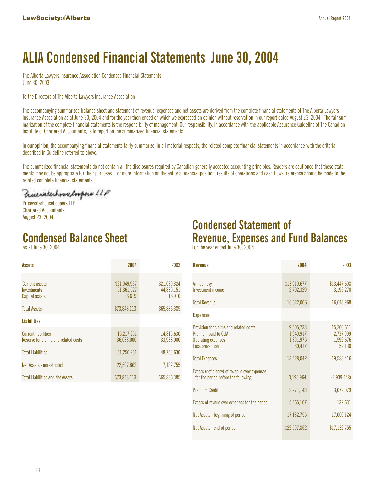### **ALIA Condensed Financial Statements June 30, 2004**

The Alberta Lawyers Insurance Association Condensed Financial Statements June 30, 2003

To the Directors of The Alberta Lawyers Insurance Association

The accompanying summarized balance sheet and statement of revenue, expenses and net assets are derived from the complete financial statements of The Alberta Lawyers Insurance Association as at June 30, 2004 and for the year then ended on which we expressed an opinion without reservation in our report dated August 23, 2004. The fair summarization of the complete financial statements is the responsibility of management. Our responsibility, in accordance with the applicable Assurance Guideline of The Canadian Institute of Chartered Accountants, is to report on the summarized financial statements.

In our opinion, the accompanying financial statements fairly summarize, in all material respects, the related complete financial statements in accordance with the criteria described in Guideline referred to above.

The summarized financial statements do not contain all the disclosures required by Canadian generally accepted accounting principles. Readers are cautioned that these statements may not be appropriate for their purposes. For more information on the entity's financial position, results of operations and cash flows, reference should be made to the related complete financial statements.

Precenterhouse loopers LLP

PricewaterhouseCoopers LLP Chartered Accountants August 23, 2004

### **Condensed Balance Sheet**

as at June 30, 2004

| <b>Condensed Statement of</b>                                                  |  |  |  |  |
|--------------------------------------------------------------------------------|--|--|--|--|
| <b>Revenue, Expenses and Fund Balances</b><br>Franklinger radial lines OO OOOA |  |  |  |  |

| For the year ended June 30, 2004 |  |  |  |
|----------------------------------|--|--|--|
|----------------------------------|--|--|--|

| Assets                                                             | 2004                                 | 2003                                 |
|--------------------------------------------------------------------|--------------------------------------|--------------------------------------|
| Current assets<br>Investments<br>Capital assets                    | \$21,949,967<br>51,861,527<br>36.619 | \$21,039,324<br>44,830,151<br>16,910 |
| <b>Total Assets</b>                                                | \$73,848,113                         | \$65,886,385                         |
| <b>Liabilities</b>                                                 |                                      |                                      |
| <b>Current liabilities</b><br>Reserve for claims and related costs | 15,217,251<br>36,033,000             | 14,815,630<br>33.938.000             |
| <b>Total Liabilities</b>                                           | 51,250,251                           | 48.753.630                           |
| Net Assets - unrestricted                                          | 22,597,862                           | 17,132,755                           |
| <b>Total Liabilities and Net Assets</b>                            | \$73,848,113                         | \$65,886,385                         |

| <b>Revenue</b>                                                                                                 | 2004                                          | 2003                                           |
|----------------------------------------------------------------------------------------------------------------|-----------------------------------------------|------------------------------------------------|
| <b>Annual levy</b><br><b>Investment income</b>                                                                 | \$13,919,677<br>2,702,329                     | \$13,447,698<br>3,196,270                      |
| <b>Total Revenue</b>                                                                                           | 16,622,006                                    | 16,643,968                                     |
| <b>Expenses</b>                                                                                                |                                               |                                                |
| Provision for claims and related costs<br>Premium paid to CLIA<br><b>Operating expenses</b><br>Loss prevention | 9,505,733<br>1,949,917<br>1,891,975<br>80,417 | 15,200,611<br>2,737,999<br>1,592,676<br>52,130 |
| <b>Total Expenses</b>                                                                                          | 13,428,042                                    | 19,583,416                                     |
| Excess (deficiency) of revenue over expenses<br>for the period before the following                            | 3,193,964                                     | (2,939,448)                                    |
| <b>Premium Credit</b>                                                                                          | 2,271,143                                     | 3,072,079                                      |
| Excess of revnue over expenses for the period                                                                  | 5,465,107                                     | 132,631                                        |
| Net Assets - beginning of period                                                                               | 17,132,755                                    | 17,000,124                                     |
| Net Assets - end of period                                                                                     | \$22,597,862                                  | \$17,132,755                                   |